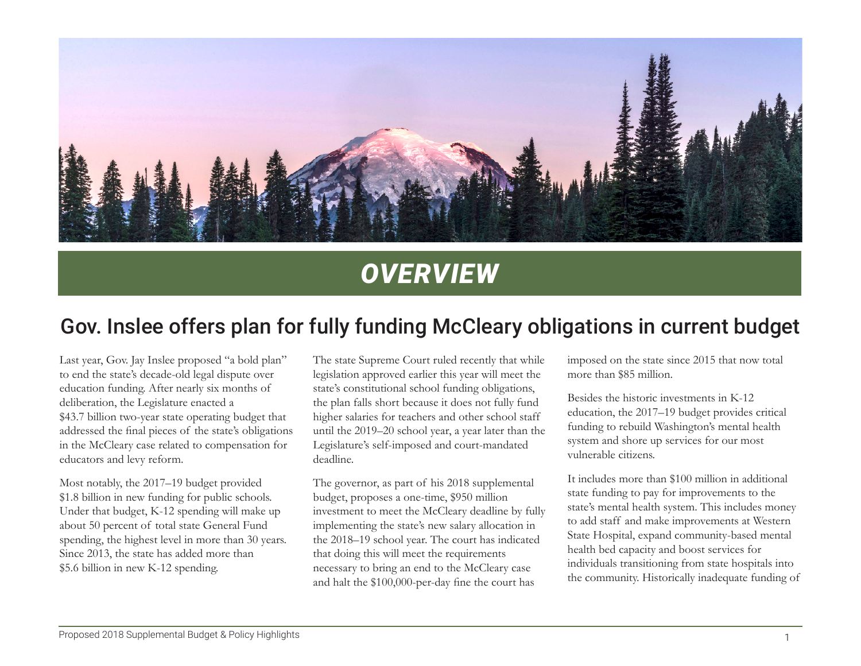

# *OVERVIEW*

# Gov. Inslee offers plan for fully funding McCleary obligations in current budget

Last year, Gov. Jay Inslee proposed "a bold plan" to end the state's decade-old legal dispute over education funding. After nearly six months of deliberation, the Legislature enacted a \$43.7 billion two-year state operating budget that addressed the final pieces of the state's obligations in the McCleary case related to compensation for educators and levy reform.

Most notably, the 2017–19 budget provided \$1.8 billion in new funding for public schools. Under that budget, K-12 spending will make up about 50 percent of total state General Fund spending, the highest level in more than 30 years. Since 2013, the state has added more than \$5.6 billion in new K-12 spending.

The state Supreme Court ruled recently that while legislation approved earlier this year will meet the state's constitutional school funding obligations, the plan falls short because it does not fully fund higher salaries for teachers and other school staff until the 2019–20 school year, a year later than the Legislature's self-imposed and court-mandated deadline.

The governor, as part of his 2018 supplemental budget, proposes a one-time, \$950 million investment to meet the McCleary deadline by fully implementing the state's new salary allocation in the 2018–19 school year. The court has indicated that doing this will meet the requirements necessary to bring an end to the McCleary case and halt the \$100,000-per-day fine the court has

imposed on the state since 2015 that now total more than \$85 million.

Besides the historic investments in K-12 education, the 2017–19 budget provides critical funding to rebuild Washington's mental health system and shore up services for our most vulnerable citizens.

It includes more than \$100 million in additional state funding to pay for improvements to the state's mental health system. This includes money to add staff and make improvements at Western State Hospital, expand community-based mental health bed capacity and boost services for individuals transitioning from state hospitals into the community. Historically inadequate funding of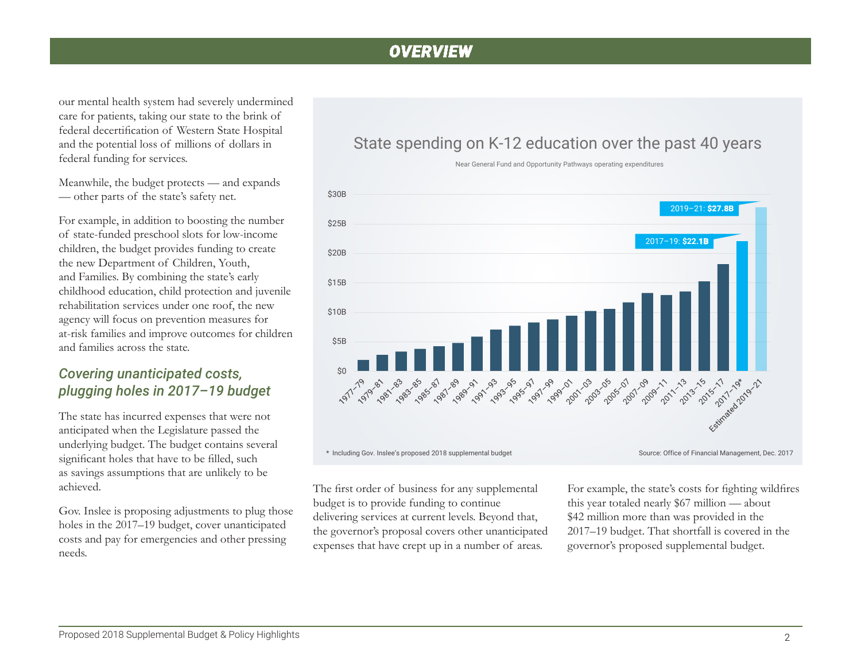## *OVERVIEW*

our mental health system had severely undermined care for patients, taking our state to the brink of federal decertification of Western State Hospital and the potential loss of millions of dollars in federal funding for services.

Meanwhile, the budget protects — and expands — other parts of the state's safety net.

For example, in addition to boosting the number of state-funded preschool slots for low-income children, the budget provides funding to create the new Department of Children, Youth, and Families. By combining the state's early childhood education, child protection and juvenile rehabilitation services under one roof, the new agency will focus on prevention measures for at-risk families and improve outcomes for children and families across the state.

#### *Covering unanticipated costs, plugging holes in 2017–19 budget*

The state has incurred expenses that were not anticipated when the Legislature passed the underlying budget. The budget contains several significant holes that have to be filled, such as savings assumptions that are unlikely to be achieved.

Gov. Inslee is proposing adjustments to plug those holes in the 2017–19 budget, cover unanticipated costs and pay for emergencies and other pressing needs.

#### State spending on K-12 education over the past 40 years



Near General Fund and Opportunity Pathways operating expenditures

The first order of business for any supplemental budget is to provide funding to continue delivering services at current levels. Beyond that, the governor's proposal covers other unanticipated expenses that have crept up in a number of areas.

For example, the state's costs for fighting wildfires this year totaled nearly \$67 million — about \$42 million more than was provided in the 2017–19 budget. That shortfall is covered in the governor's proposed supplemental budget.